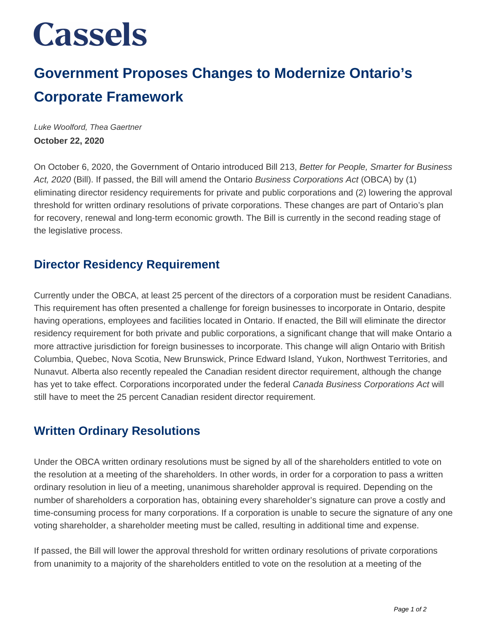# **Cassels**

### **Government Proposes Changes to Modernize Ontario's Corporate Framework**

Luke Woolford, Thea Gaertner **October 22, 2020**

On October 6, 2020, the Government of Ontario introduced Bill 213, Better for People, Smarter for Business Act, 2020 (Bill). If passed, the Bill will amend the Ontario Business Corporations Act (OBCA) by (1) eliminating director residency requirements for private and public corporations and (2) lowering the approval threshold for written ordinary resolutions of private corporations. These changes are part of Ontario's plan for recovery, renewal and long-term economic growth. The Bill is currently in the second reading stage of the legislative process.

#### **Director Residency Requirement**

Currently under the OBCA, at least 25 percent of the directors of a corporation must be resident Canadians. This requirement has often presented a challenge for foreign businesses to incorporate in Ontario, despite having operations, employees and facilities located in Ontario. If enacted, the Bill will eliminate the director residency requirement for both private and public corporations, a significant change that will make Ontario a more attractive jurisdiction for foreign businesses to incorporate. This change will align Ontario with British Columbia, Quebec, Nova Scotia, New Brunswick, Prince Edward Island, Yukon, Northwest Territories, and Nunavut. Alberta also recently repealed the Canadian resident director requirement, although the change has yet to take effect. Corporations incorporated under the federal Canada Business Corporations Act will still have to meet the 25 percent Canadian resident director requirement.

#### **Written Ordinary Resolutions**

Under the OBCA written ordinary resolutions must be signed by all of the shareholders entitled to vote on the resolution at a meeting of the shareholders. In other words, in order for a corporation to pass a written ordinary resolution in lieu of a meeting, unanimous shareholder approval is required. Depending on the number of shareholders a corporation has, obtaining every shareholder's signature can prove a costly and time-consuming process for many corporations. If a corporation is unable to secure the signature of any one voting shareholder, a shareholder meeting must be called, resulting in additional time and expense.

If passed, the Bill will lower the approval threshold for written ordinary resolutions of private corporations from unanimity to a majority of the shareholders entitled to vote on the resolution at a meeting of the